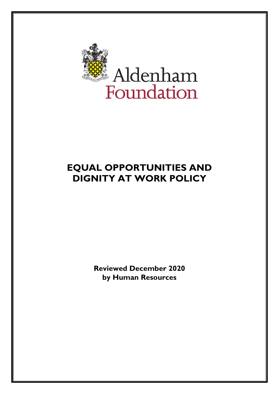

# **EQUAL OPPORTUNITIES AND DIGNITY AT WORK POLICY**

**Reviewed December 2020 by Human Resources**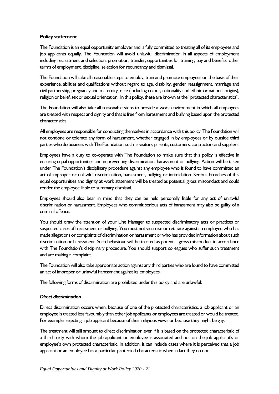## **Policy statement**

The Foundation is an equal opportunity employer and is fully committed to treating all of its employees and job applicants equally. The Foundation will avoid unlawful discrimination in all aspects of employment including recruitment and selection, promotion, transfer, opportunities for training, pay and benefits, other terms of employment, discipline, selection for redundancy and dismissal.

The Foundation will take all reasonable steps to employ, train and promote employees on the basis of their experience, abilities and qualifications without regard to age, disability, gender reassignment, marriage and civil partnership, pregnancy and maternity, race (including colour, nationality and ethnic or national origins), religion or belief, sex or sexual orientation. In this policy, these are known as the "protected characteristics".

The Foundation will also take all reasonable steps to provide a work environment in which all employees are treated with respect and dignity and that is free from harassment and bullying based upon the protected characteristics.

All employees are responsible for conducting themselves in accordance with this policy. The Foundation will not condone or tolerate any form of harassment, whether engaged in by employees or by outside third parties who do business with The Foundation, such as visitors, parents, customers, contractors and suppliers.

Employees have a duty to co-operate with The Foundation to make sure that this policy is effective in ensuring equal opportunities and in preventing discrimination, harassment or bullying. Action will be taken under The Foundation's disciplinary procedure against any employee who is found to have committed an act of improper or unlawful discrimination, harassment, bullying or intimidation. Serious breaches of this equal opportunities and dignity at work statement will be treated as potential gross misconduct and could render the employee liable to summary dismissal.

Employees should also bear in mind that they can be held personally liable for any act of unlawful discrimination or harassment. Employees who commit serious acts of harassment may also be guilty of a criminal offence.

You should draw the attention of your Line Manager to suspected discriminatory acts or practices or suspected cases of harassment or bullying. You must not victimise or retaliate against an employee who has made allegations or complaints of discrimination or harassment or who has provided information about such discrimination or harassment. Such behaviour will be treated as potential gross misconduct in accordance with The Foundation's disciplinary procedure. You should support colleagues who suffer such treatment and are making a complaint.

The Foundation will also take appropriate action against any third parties who are found to have committed an act of improper or unlawful harassment against its employees.

The following forms of discrimination are prohibited under this policy and are unlawful:

## *Direct discrimination*

Direct discrimination occurs when, because of one of the protected characteristics, a job applicant or an employee is treated less favourably than other job applicants or employees are treated or would be treated. For example, rejecting a job applicant because of their religious views or because they might be gay.

The treatment will still amount to direct discrimination even if it is based on the protected characteristic of a third party with whom the job applicant or employee is associated and not on the job applicant's or employee's own protected characteristic. In addition, it can include cases where it is perceived that a job applicant or an employee has a particular protected characteristic when in fact they do not.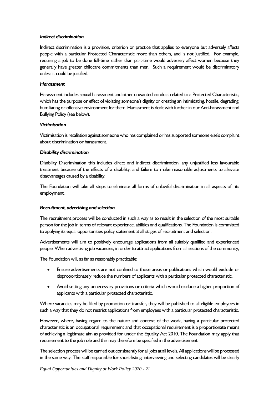#### *Indirect discrimination*

Indirect discrimination is a provision, criterion or practice that applies to everyone but adversely affects people with a particular Protected Characteristic more than others, and is not justified. For example, requiring a job to be done full-time rather than part-time would adversely affect women because they generally have greater childcare commitments than men. Such a requirement would be discriminatory unless it could be justified.

#### *Harassment*

Harassment includes sexual harassment and other unwanted conduct related to a Protected Characteristic, which has the purpose or effect of violating someone's dignity or creating an intimidating, hostile, degrading, humiliating or offensive environment for them. Harassment is dealt with further in our Anti-harassment and Bullying Policy (see below).

#### *Victimisation*

Victimisation is retaliation against someone who has complained or has supported someone else's complaint about discrimination or harassment.

#### *Disability discrimination*

Disability Discrimination this includes direct and indirect discrimination, any unjustified less favourable treatment because of the effects of a disability, and failure to make reasonable adjustments to alleviate disadvantages caused by a disability.

The Foundation will take all steps to eliminate all forms of unlawful discrimination in all aspects of its employment.

## *Recruitment, advertising and selection*

The recruitment process will be conducted in such a way as to result in the selection of the most suitable person for the job in terms of relevant experience, abilities and qualifications. The Foundation is committed to applying its equal opportunities policy statement at all stages of recruitment and selection.

Advertisements will aim to positively encourage applications from all suitably qualified and experienced people. When advertising job vacancies, in order to attract applications from all sections of the community,

The Foundation will, as far as reasonably practicable:

- Ensure advertisements are not confined to those areas or publications which would exclude or disproportionately reduce the numbers of applicants with a particular protected characteristic.
- Avoid setting any unnecessary provisions or criteria which would exclude a higher proportion of applicants with a particular protected characteristic.

Where vacancies may be filled by promotion or transfer, they will be published to all eligible employees in such a way that they do not restrict applications from employees with a particular protected characteristic.

However, where, having regard to the nature and context of the work, having a particular protected characteristic is an occupational requirement and that occupational requirement is a proportionate means of achieving a legitimate aim as provided for under the Equality Act 2010, The Foundation may apply that requirement to the job role and this may therefore be specified in the advertisement.

The selection process will be carried out consistently for all jobs at all levels. All applications will be processed in the same way. The staff responsible for short-listing, interviewing and selecting candidates will be clearly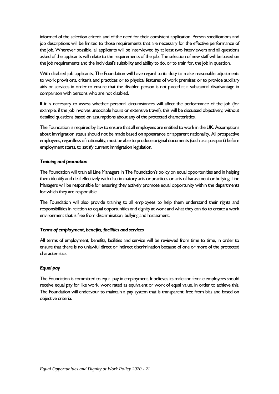informed of the selection criteria and of the need for their consistent application. Person specifications and job descriptions will be limited to those requirements that are necessary for the effective performance of the job. Wherever possible, all applicants will be interviewed by at least two interviewers and all questions asked of the applicants will relate to the requirements of the job. The selection of new staff will be based on the job requirements and the individual's suitability and ability to do, or to train for, the job in question.

With disabled job applicants, The Foundation will have regard to its duty to make reasonable adjustments to work provisions, criteria and practices or to physical features of work premises or to provide auxiliary aids or services in order to ensure that the disabled person is not placed at a substantial disadvantage in comparison with persons who are not disabled.

If it is necessary to assess whether personal circumstances will affect the performance of the job (for example, if the job involves unsociable hours or extensive travel), this will be discussed objectively, without detailed questions based on assumptions about any of the protected characteristics.

The Foundation is required by law to ensure that all employees are entitled to work in the UK. Assumptions about immigration status should not be made based on appearance or apparent nationality. All prospective employees, regardless of nationality, must be able to produce original documents (such as a passport) before employment starts, to satisfy current immigration legislation.

# *Training and promotion*

The Foundation will train all Line Managers in The Foundation's policy on equal opportunities and in helping them identify and deal effectively with discriminatory acts or practices or acts of harassment or bullying. Line Managers will be responsible for ensuring they actively promote equal opportunity within the departments for which they are responsible.

The Foundation will also provide training to all employees to help them understand their rights and responsibilities in relation to equal opportunities and dignity at work and what they can do to create a work environment that is free from discrimination, bullying and harassment.

# *Terms of employment, benefits, facilities and services*

All terms of employment, benefits, facilities and service will be reviewed from time to time, in order to ensure that there is no unlawful direct or indirect discrimination because of one or more of the protected characteristics.

# *Equal pay*

The Foundation is committed to equal pay in employment. It believes its male and female employees should receive equal pay for like work, work rated as equivalent or work of equal value. In order to achieve this, The Foundation will endeavour to maintain a pay system that is transparent, free from bias and based on objective criteria.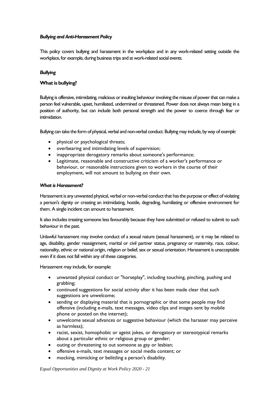# *Bullying and Anti-Harassment Policy*

This policy covers bullying and harassment in the workplace and in any work-related setting outside the workplace, for example, during business trips and at work-related social events.

# *Bullying*

# **What is bullying?**

Bullying is offensive, intimidating, malicious or insulting behaviour involving the misuse of power that can make a person feel vulnerable, upset, humiliated, undermined or threatened. Power does not always mean being in a position of authority, but can include both personal strength and the power to coerce through fear or intimidation.

Bullying can take the form of physical, verbal and non-verbal conduct. Bullying may include, by way of *example:*

- physical or psychological threats;
- overbearing and intimidating levels of supervision;
- inappropriate derogatory remarks about someone's performance;
- Legitimate, reasonable and constructive criticism of a worker's performance or behaviour, or reasonable instructions given to workers in the course of their employment, will not amount to bullying on their own.

#### *What is Harassment?*

Harassment is any unwanted physical, verbal or non-verbal conduct that has the purpose or effect of violating a person's dignity or creating an intimidating, hostile, degrading, humiliating or offensive environment for them. A single incident can amount to harassment.

It also includes treating someone less favourably because they have submitted or refused to submit to such behaviour in the past.

Unlawful harassment may involve conduct of a sexual nature (sexual harassment), or it may be related to age, disability, gender reassignment, marital or civil partner status, pregnancy or maternity, race, colour, nationality, ethnic or national origin, religion or belief, sex or sexual orientation. Harassment is unacceptable even if it does not fall within any of these categories.

Harassment may include, for example:

- unwanted physical conduct or "horseplay", including touching, pinching, pushing and grabbing;
- continued suggestions for social activity after it has been made clear that such suggestions are unwelcome;
- sending or displaying material that is pornographic or that some people may find offensive (including e-mails, text messages, video clips and images sent by mobile phone or posted on the internet);
- unwelcome sexual advances or suggestive behaviour (which the harasser may perceive as harmless);
- racist, sexist, homophobic or ageist jokes, or derogatory or stereotypical remarks about a particular ethnic or religious group or gender;
- outing or threatening to out someone as gay or lesbian;
- offensive e-mails, text messages or social media content; or
- mocking, mimicking or belittling a person's disability.

*Equal Opportunities and Dignity at Work Policy 2020 - 21*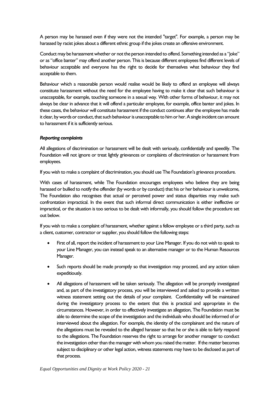A person may be harassed even if they were not the intended "target". For example, a person may be harassed by racist jokes about a different ethnic group if the jokes create an offensive environment.

Conduct may be harassment whether or not the person intended to offend. Something intended as a "joke" or as "office banter" may offend another person. This is because different employees find different levels of behaviour acceptable and everyone has the right to decide for themselves what behaviour they find acceptable to them.

Behaviour which a reasonable person would realise would be likely to offend an employee will always constitute harassment without the need for the employee having to make it clear that such behaviour is unacceptable, for example, touching someone in a sexual way. With other forms of behaviour, it may not always be clear in advance that it will offend a particular employee, for example, office banter and jokes. In these cases, the behaviour will constitute harassment if the conduct continues after the employee has made it clear, by words or conduct, that such behaviour is unacceptable to him or her. A single incident can amount to harassment if it is sufficiently serious.

## *Reporting complaints*

All allegations of discrimination or harassment will be dealt with seriously, confidentially and speedily. The Foundation will not ignore or treat lightly grievances or complaints of discrimination or harassment from employees.

If you wish to make a complaint of discrimination, you should use The Foundation's grievance procedure.

With cases of harassment, while The Foundation encourages employees who believe they are being harassed or bullied to notify the offender (by words or by conduct) that his or her behaviour is unwelcome, The Foundation also recognises that actual or perceived power and status disparities may make such confrontation impractical. In the event that such informal direct communication is either ineffective or impractical, or the situation is too serious to be dealt with informally, you should follow the procedure set out below.

If you wish to make a complaint of harassment, whether against a fellow employee or a third party, such as a client, customer, contractor or supplier, you should follow the following steps:

- First of all, report the incident of harassment to your Line Manager. If you do not wish to speak to your Line Manager, you can instead speak to an alternative manager or to the Human Resources Manager.
- Such reports should be made promptly so that investigation may proceed, and any action taken expeditiously.
- All allegations of harassment will be taken seriously. The allegation will be promptly investigated and, as part of the investigatory process, you will be interviewed and asked to provide a written witness statement setting out the details of your complaint. Confidentiality will be maintained during the investigatory process to the extent that this is practical and appropriate in the circumstances. However, in order to effectively investigate an allegation, The Foundation must be able to determine the scope of the investigation and the individuals who should be informed of or interviewed about the allegation. For example, the identity of the complainant and the nature of the allegations must be revealed to the alleged harasser so that he or she is able to fairly respond to the allegations. The Foundation reserves the right to arrange for another manager to conduct the investigation other than the manager with whom you raised the matter. If the matter becomes subject to disciplinary or other legal action, witness statements may have to be disclosed as part of that process.